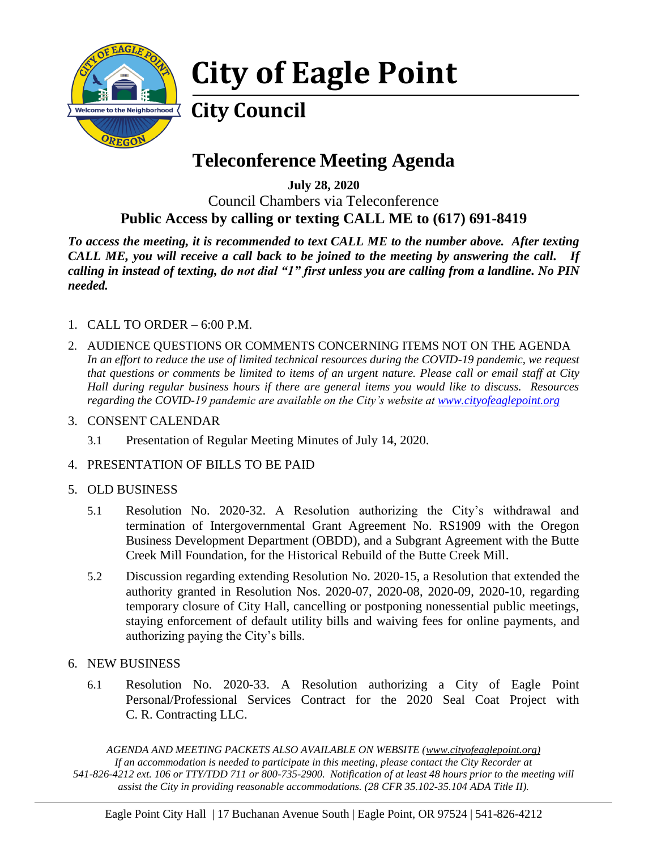

# **City of Eagle Point**

## **City Council**

## **Teleconference Meeting Agenda**

**July 28, 2020** Council Chambers via Teleconference **Public Access by calling or texting CALL ME to (617) 691-8419**

*To access the meeting, it is recommended to text CALL ME to the number above. After texting CALL ME, you will receive a call back to be joined to the meeting by answering the call. If calling in instead of texting, do not dial "1" first unless you are calling from a landline. No PIN needed.* 

- 1. CALL TO ORDER 6:00 P.M.
- 2. AUDIENCE QUESTIONS OR COMMENTS CONCERNING ITEMS NOT ON THE AGENDA *In an effort to reduce the use of limited technical resources during the COVID-19 pandemic, we request that questions or comments be limited to items of an urgent nature. Please call or email staff at City Hall during regular business hours if there are general items you would like to discuss. Resources regarding the COVID-19 pandemic are available on the City's website at [www.cityofeaglepoint.org](http://www.cityofeaglepoint.org/)*
- 3. CONSENT CALENDAR
	- 3.1 Presentation of Regular Meeting Minutes of July 14, 2020.
- 4. PRESENTATION OF BILLS TO BE PAID

#### 5. OLD BUSINESS

- 5.1 Resolution No. 2020-32. A Resolution authorizing the City's withdrawal and termination of Intergovernmental Grant Agreement No. RS1909 with the Oregon Business Development Department (OBDD), and a Subgrant Agreement with the Butte Creek Mill Foundation, for the Historical Rebuild of the Butte Creek Mill.
- 5.2 Discussion regarding extending Resolution No. 2020-15, a Resolution that extended the authority granted in Resolution Nos. 2020-07, 2020-08, 2020-09, 2020-10, regarding temporary closure of City Hall, cancelling or postponing nonessential public meetings, staying enforcement of default utility bills and waiving fees for online payments, and authorizing paying the City's bills.
- 6. NEW BUSINESS
	- 6.1 Resolution No. 2020-33. A Resolution authorizing a City of Eagle Point Personal/Professional Services Contract for the 2020 Seal Coat Project with C. R. Contracting LLC.

*AGENDA AND MEETING PACKETS ALSO AVAILABLE ON WEBSITE (www.cityofeaglepoint.org) If an accommodation is needed to participate in this meeting, please contact the City Recorder at 541-826-4212 ext. 106 or TTY/TDD 711 or 800-735-2900. Notification of at least 48 hours prior to the meeting will assist the City in providing reasonable accommodations. (28 CFR 35.102-35.104 ADA Title II).*